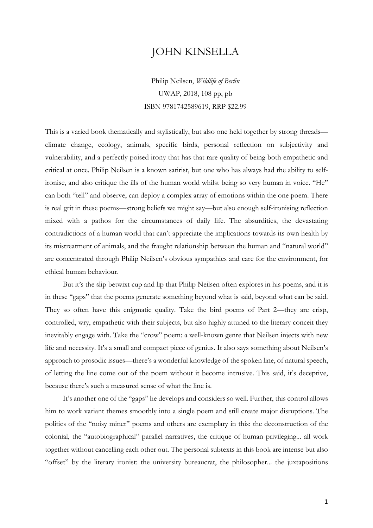## JOHN KINSELLA

Philip Neilsen, *Wildlife of Berlin* UWAP, 2018, 108 pp, pb ISBN 9781742589619, RRP \$22.99

This is a varied book thematically and stylistically, but also one held together by strong threads climate change, ecology, animals, specific birds, personal reflection on subjectivity and vulnerability, and a perfectly poised irony that has that rare quality of being both empathetic and critical at once. Philip Neilsen is a known satirist, but one who has always had the ability to selfironise, and also critique the ills of the human world whilst being so very human in voice. "He" can both "tell" and observe, can deploy a complex array of emotions within the one poem. There is real grit in these poems—strong beliefs we might say—but also enough self-ironising reflection mixed with a pathos for the circumstances of daily life. The absurdities, the devastating contradictions of a human world that can't appreciate the implications towards its own health by its mistreatment of animals, and the fraught relationship between the human and "natural world" are concentrated through Philip Neilsen's obvious sympathies and care for the environment, for ethical human behaviour.

But it's the slip betwixt cup and lip that Philip Neilsen often explores in his poems, and it is in these "gaps" that the poems generate something beyond what is said, beyond what can be said. They so often have this enigmatic quality. Take the bird poems of Part 2—they are crisp, controlled, wry, empathetic with their subjects, but also highly attuned to the literary conceit they inevitably engage with. Take the "crow" poem: a well-known genre that Neilsen injects with new life and necessity. It's a small and compact piece of genius. It also says something about Neilsen's approach to prosodic issues—there's a wonderful knowledge of the spoken line, of natural speech, of letting the line come out of the poem without it become intrusive. This said, it's deceptive, because there's such a measured sense of what the line is.

It's another one of the "gaps" he develops and considers so well. Further, this control allows him to work variant themes smoothly into a single poem and still create major disruptions. The politics of the "noisy miner" poems and others are exemplary in this: the deconstruction of the colonial, the "autobiographical" parallel narratives, the critique of human privileging... all work together without cancelling each other out. The personal subtexts in this book are intense but also "offset" by the literary ironist: the university bureaucrat, the philosopher... the juxtapositions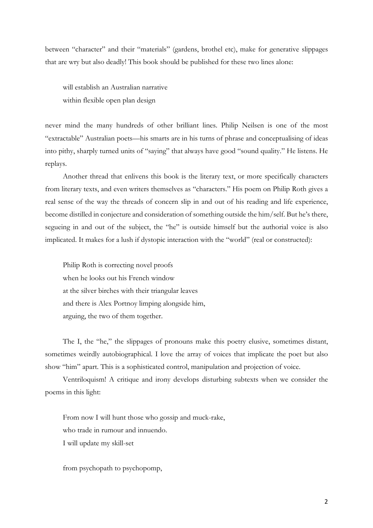between "character" and their "materials" (gardens, brothel etc), make for generative slippages that are wry but also deadly! This book should be published for these two lines alone:

will establish an Australian narrative within flexible open plan design

never mind the many hundreds of other brilliant lines. Philip Neilsen is one of the most "extractable" Australian poets—his smarts are in his turns of phrase and conceptualising of ideas into pithy, sharply turned units of "saying" that always have good "sound quality." He listens. He replays.

Another thread that enlivens this book is the literary text, or more specifically characters from literary texts, and even writers themselves as "characters." His poem on Philip Roth gives a real sense of the way the threads of concern slip in and out of his reading and life experience, become distilled in conjecture and consideration of something outside the him/self. But he's there, segueing in and out of the subject, the "he" is outside himself but the authorial voice is also implicated. It makes for a lush if dystopic interaction with the "world" (real or constructed):

Philip Roth is correcting novel proofs when he looks out his French window at the silver birches with their triangular leaves and there is Alex Portnoy limping alongside him, arguing, the two of them together.

The I, the "he," the slippages of pronouns make this poetry elusive, sometimes distant, sometimes weirdly autobiographical. I love the array of voices that implicate the poet but also show "him" apart. This is a sophisticated control, manipulation and projection of voice.

Ventriloquism! A critique and irony develops disturbing subtexts when we consider the poems in this light:

From now I will hunt those who gossip and muck-rake, who trade in rumour and innuendo. I will update my skill-set

from psychopath to psychopomp,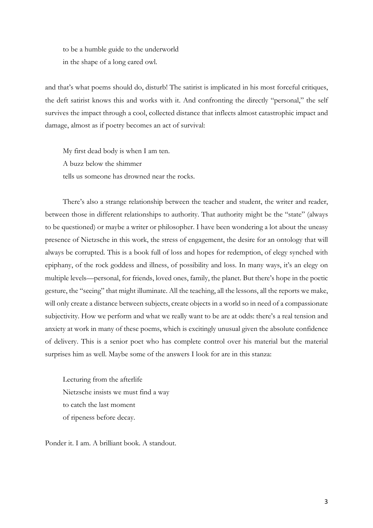to be a humble guide to the underworld in the shape of a long eared owl.

and that's what poems should do, disturb! The satirist is implicated in his most forceful critiques, the deft satirist knows this and works with it. And confronting the directly "personal," the self survives the impact through a cool, collected distance that inflects almost catastrophic impact and damage, almost as if poetry becomes an act of survival:

My first dead body is when I am ten. A buzz below the shimmer tells us someone has drowned near the rocks.

There's also a strange relationship between the teacher and student, the writer and reader, between those in different relationships to authority. That authority might be the "state" (always to be questioned) or maybe a writer or philosopher. I have been wondering a lot about the uneasy presence of Nietzsche in this work, the stress of engagement, the desire for an ontology that will always be corrupted. This is a book full of loss and hopes for redemption, of elegy synched with epiphany, of the rock goddess and illness, of possibility and loss. In many ways, it's an elegy on multiple levels—personal, for friends, loved ones, family, the planet. But there's hope in the poetic gesture, the "seeing" that might illuminate. All the teaching, all the lessons, all the reports we make, will only create a distance between subjects, create objects in a world so in need of a compassionate subjectivity. How we perform and what we really want to be are at odds: there's a real tension and anxiety at work in many of these poems, which is excitingly unusual given the absolute confidence of delivery. This is a senior poet who has complete control over his material but the material surprises him as well. Maybe some of the answers I look for are in this stanza:

Lecturing from the afterlife Nietzsche insists we must find a way to catch the last moment of ripeness before decay.

Ponder it. I am. A brilliant book. A standout.